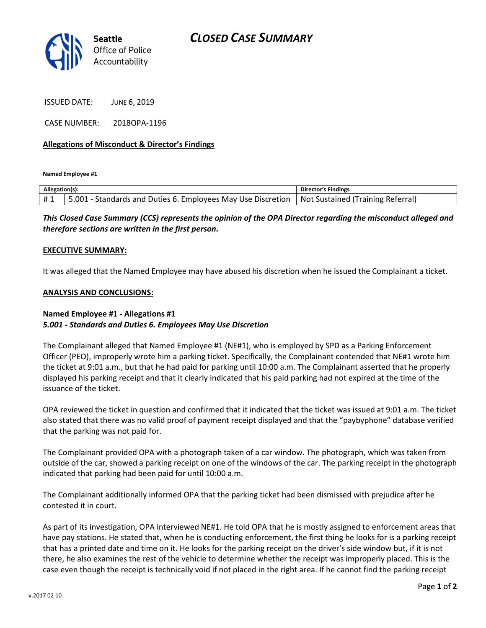

ISSUED DATE: JUNE 6, 2019

CASE NUMBER: 2018OPA-1196

### Allegations of Misconduct & Director's Findings

Named Employee #1

| Allegation(s): |                                                                  | <b>Director's Findings</b>               |
|----------------|------------------------------------------------------------------|------------------------------------------|
| #1             | .001<br>1 - Standards and Duties 6. Employees May Use Discretion | <b>Not Sustained (Training Referral)</b> |

This Closed Case Summary (CCS) represents the opinion of the OPA Director regarding the misconduct alleged and therefore sections are written in the first person.

#### EXECUTIVE SUMMARY:

It was alleged that the Named Employee may have abused his discretion when he issued the Complainant a ticket.

#### ANALYSIS AND CONCLUSIONS:

## Named Employee #1 - Allegations #1 5.001 - Standards and Duties 6. Employees May Use Discretion

The Complainant alleged that Named Employee #1 (NE#1), who is employed by SPD as a Parking Enforcement Officer (PEO), improperly wrote him a parking ticket. Specifically, the Complainant contended that NE#1 wrote him the ticket at 9:01 a.m., but that he had paid for parking until 10:00 a.m. The Complainant asserted that he properly displayed his parking receipt and that it clearly indicated that his paid parking had not expired at the time of the issuance of the ticket.

OPA reviewed the ticket in question and confirmed that it indicated that the ticket was issued at 9:01 a.m. The ticket also stated that there was no valid proof of payment receipt displayed and that the "paybyphone" database verified that the parking was not paid for.

The Complainant provided OPA with a photograph taken of a car window. The photograph, which was taken from outside of the car, showed a parking receipt on one of the windows of the car. The parking receipt in the photograph indicated that parking had been paid for until 10:00 a.m.

The Complainant additionally informed OPA that the parking ticket had been dismissed with prejudice after he contested it in court.

As part of its investigation, OPA interviewed NE#1. He told OPA that he is mostly assigned to enforcement areas that have pay stations. He stated that, when he is conducting enforcement, the first thing he looks for is a parking receipt that has a printed date and time on it. He looks for the parking receipt on the driver's side window but, if it is not there, he also examines the rest of the vehicle to determine whether the receipt was improperly placed. This is the case even though the receipt is technically void if not placed in the right area. If he cannot find the parking receipt